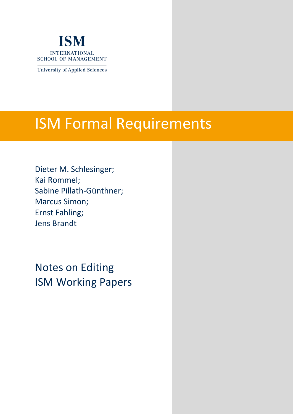

**University of Applied Sciences** 

# ISM Formal Requirements

Dieter M. Schlesinger; Kai Rommel; Sabine Pillath-Günthner; Marcus Simon; Ernst Fahling; Jens Brandt

Notes on Editing ISM Working Papers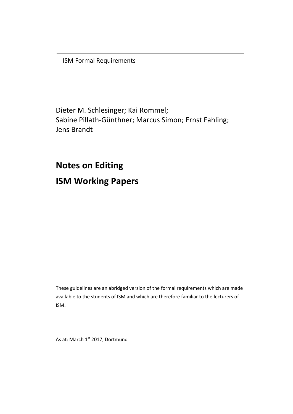ISM Formal Requirements

Dieter M. Schlesinger; Kai Rommel; Sabine Pillath-Günthner; Marcus Simon; Ernst Fahling; Jens Brandt

**Notes on Editing ISM Working Papers**

These guidelines are an abridged version of the formal requirements which are made available to the students of ISM and which are therefore familiar to the lecturers of ISM.

As at: March 1<sup>st</sup> 2017, Dortmund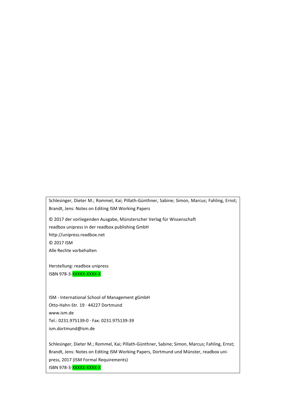Schlesinger, Dieter M.; Rommel, Kai; Pillath-Günthner, Sabine; Simon, Marcus; Fahling, Ernst; Brandt, Jens: Notes on Editing ISM Working Papers

© 2017 der vorliegenden Ausgabe, Münsterscher Verlag für Wissenschaft readbox unipress in der readbox publishing GmbH http://unipress.readbox.net © 2017 ISM Alle Rechte vorbehalten

Herstellung: readbox unipress ISBN 978-3-XXXXX-XXXX-X

ISM - International School of Management gGmbH Otto‐Hahn‐Str. 19 · 44227 Dortmund www.ism.de Tel.: 0231.975139-0 · Fax: 0231.975139-39 ism.dortmund@ism.de

Schlesinger, Dieter M.; Rommel, Kai; Pillath-Günthner, Sabine; Simon, Marcus; Fahling, Ernst; Brandt, Jens: Notes on Editing ISM Working Papers, Dortmund und Münster, readbox unipress, 2017 (ISM Formal Requirements) ISBN 978-3-XXXXX-XXXX-X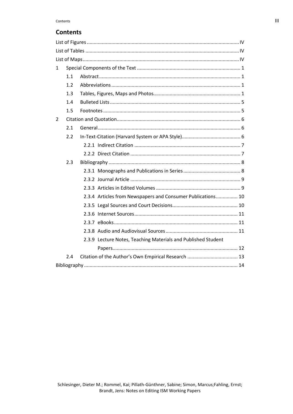# **Contents**

| $\mathbf{1}$ |     |                                                               |  |  |  |  |
|--------------|-----|---------------------------------------------------------------|--|--|--|--|
|              | 1.1 |                                                               |  |  |  |  |
|              | 1.2 |                                                               |  |  |  |  |
|              | 1.3 |                                                               |  |  |  |  |
|              | 1.4 |                                                               |  |  |  |  |
|              | 1.5 |                                                               |  |  |  |  |
| 2            |     |                                                               |  |  |  |  |
|              | 2.1 |                                                               |  |  |  |  |
|              | 2.2 |                                                               |  |  |  |  |
|              |     |                                                               |  |  |  |  |
|              |     |                                                               |  |  |  |  |
|              | 2.3 |                                                               |  |  |  |  |
|              |     |                                                               |  |  |  |  |
|              |     |                                                               |  |  |  |  |
|              |     |                                                               |  |  |  |  |
|              |     | 2.3.4 Articles from Newspapers and Consumer Publications 10   |  |  |  |  |
|              |     |                                                               |  |  |  |  |
|              |     |                                                               |  |  |  |  |
|              |     |                                                               |  |  |  |  |
|              |     |                                                               |  |  |  |  |
|              |     | 2.3.9 Lecture Notes, Teaching Materials and Published Student |  |  |  |  |
|              |     |                                                               |  |  |  |  |
|              | 2.4 |                                                               |  |  |  |  |
|              |     |                                                               |  |  |  |  |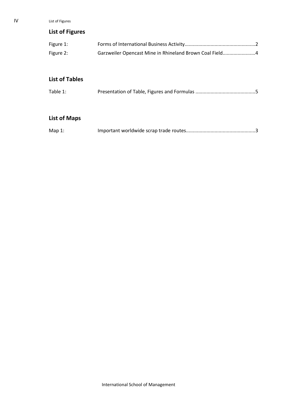IV List of Figures

# <span id="page-5-0"></span>**List of Figures**

| Figure 1: |                                                         |  |
|-----------|---------------------------------------------------------|--|
| Figure 2: | Garzweiler Opencast Mine in Rhineland Brown Coal Field4 |  |

# <span id="page-5-1"></span>**List of Tables**

| Table 1: |  |
|----------|--|
|          |  |

# <span id="page-5-2"></span>**List of Maps**

| Map $1$ : |  |
|-----------|--|
|           |  |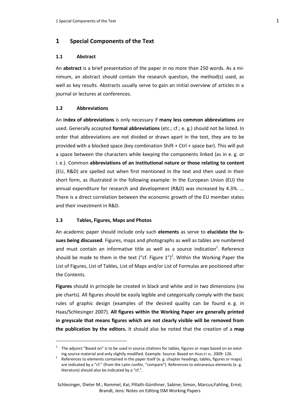# <span id="page-6-0"></span>**1 Special Components of the Text**

### <span id="page-6-1"></span>**1.1 Abstract**

An **abstract** is a brief presentation of the paper in no more than 250 words. As a minimum, an abstract should contain the research question, the method(s) used, as well as key results. Abstracts usually serve to gain an initial overview of articles in a journal or lectures at conferences.

### <span id="page-6-2"></span>**1.2 Abbreviations**

An **index of abbreviations** is only necessary if **many less common abbreviations** are used. Generally accepted **formal abbreviations** (etc.; cf.; e. g.) should not be listed. In order that abbreviations are not divided or drawn apart in the text, they are to be provided with a blocked space (key combination Shift + Ctrl + space bar). This will put a space between the characters while keeping the components linked (as in e. g. or i. e.). Common **abbreviations of an institutional nature or those relating to content** (EU, R&D) are spelled out when first mentioned in the text and then used in their short form, as illustrated in the following example: In the European Union (EU) the annual expenditure for research and development (R&D) was increased by 4.3%. ... There is a direct correlation between the economic growth of the EU member states and their investment in R&D.

### <span id="page-6-3"></span>**1.3 Tables, Figures, Maps and Photos**

 $\overline{\phantom{a}}$ 

An academic paper should include only such **elements** as serve to **elucidate the issues being discussed**. Figures, maps and photographs as well as tables are numbered and must contain an informative title as well as a source indication<sup>1</sup>. Reference should be made to them in the text ("cf. Figure  $1")^2$ . Within the Working Paper the List of Figures, List of Tables, List of Maps and/or List of Formulas are positioned after the Contents.

**Figures** should in principle be created in black and white and in two dimensions (no pie charts). All figures should be easily legible and categorically comply with the basic rules of graphic design (examples of the desired quality can be found e. g. in Haas/Schlesinger 2007). **All figures within the Working Paper are generally printed in greyscale that means figures which are not clearly visible will be removed from the publication by the editors.** It should also be noted that the creation of a **map**

<sup>&</sup>lt;sup>1</sup> The adjunct "Based on" is to be used in source citations for tables, figures or maps based on an existing source material and only slightly modified. Example: Source: Based on HAAS ET AL. 2009: 126.

<sup>2</sup> References to elements contained in the paper itself (e. g. chapter headings, tables, figures or maps) are indicated by a "cf." (from the Latin confer, "compare"). References to extraneous elements (e. g. literature) should also be indicated by a "cf.".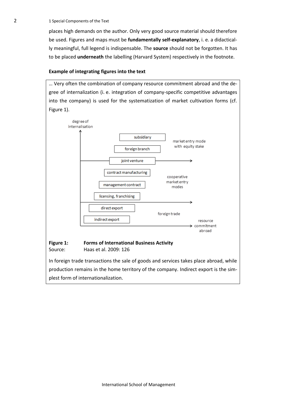places high demands on the author. Only very good source material should therefore be used. Figures and maps must be **fundamentally self-explanatory**, i. e. a didactically meaningful, full legend is indispensable. The **source** should not be forgotten. It has to be placed **underneath** the labelling (Harvard System) respectively in the footnote.

### **Example of integrating figures into the text**

… Very often the combination of company resource commitment abroad and the degree of internalization (i. e. integration of company-specific competitive advantages into the company) is used for the systematization of market cultivation forms (cf. Figure 1).



<span id="page-7-0"></span>production remains in the home territory of the company. Indirect export is the simplest form of internationalization.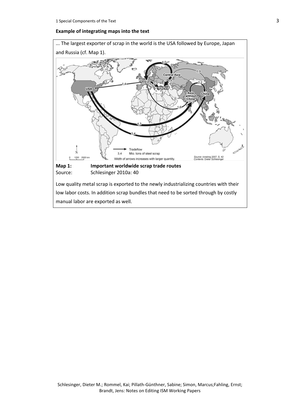### **Example of integrating maps into the text**

<span id="page-8-0"></span>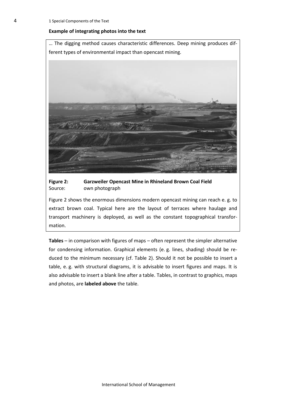#### **Example of integrating photos into the text**

… The digging method causes characteristic differences. Deep mining produces different types of environmental impact than opencast mining.



### <span id="page-9-0"></span>**Figure 2: Garzweiler Opencast Mine in Rhineland Brown Coal Field** Source: own photograph

Figure 2 shows the enormous dimensions modern opencast mining can reach e. g. to extract brown coal. Typical here are the layout of terraces where haulage and transport machinery is deployed, as well as the constant topographical transformation.

**Tables** – in comparison with figures of maps – often represent the simpler alternative for condensing information. Graphical elements (e. g. lines, shading) should be reduced to the minimum necessary (cf. Table 2). Should it not be possible to insert a table, e. g. with structural diagrams, it is advisable to insert figures and maps. It is also advisable to insert a blank line after a table. Tables, in contrast to graphics, maps and photos, are **labeled above** the table.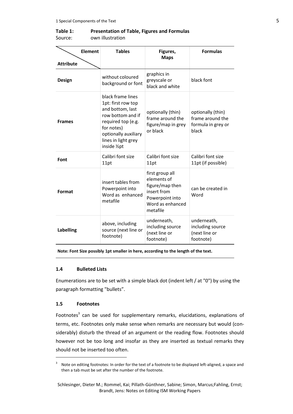### <span id="page-10-2"></span>**Table 1: Presentation of Table, Figures and Formulas** Source: own illustration

| Element          | <b>Tables</b>                                                                                                                                                                       | Figures,                                                                                                            | <b>Formulas</b>                                                      |
|------------------|-------------------------------------------------------------------------------------------------------------------------------------------------------------------------------------|---------------------------------------------------------------------------------------------------------------------|----------------------------------------------------------------------|
| <b>Attribute</b> |                                                                                                                                                                                     | <b>Maps</b>                                                                                                         |                                                                      |
| Design           | without coloured<br>background or font                                                                                                                                              | graphics in<br>greyscale or<br>black and white                                                                      | black font                                                           |
| <b>Frames</b>    | black frame lines<br>1pt: first row top<br>and bottom, last<br>row bottom and if<br>required top (e.g.<br>for notes)<br>optionally auxiliary<br>lines in light grey<br>inside 1/2pt | optionally (thin)<br>frame around the<br>figure/map in grey<br>or black                                             | optionally (thin)<br>frame around the<br>formula in grey or<br>black |
| Font             | Calibri font size<br>11pt                                                                                                                                                           | Calibri font size<br>11pt                                                                                           | Calibri font size<br>11pt (if possible)                              |
| Format           | insert tables from<br>Powerpoint into<br>Word as enhanced<br>metafile                                                                                                               | first group all<br>elements of<br>figure/map then<br>insert from<br>Powerpoint into<br>Word as enhanced<br>metafile | can be created in<br>Word                                            |
| <b>Labelling</b> | above, including<br>source (next line or<br>footnote)                                                                                                                               | underneath,<br>including source<br>(next line or<br>footnote)                                                       | underneath,<br>including source<br>(next line or<br>footnote)        |

**Note: Font Size possibly 1pt smaller in here, according to the length of the text.**

### <span id="page-10-0"></span>**1.4 [Bulleted](http://www.linguee.de/englisch-deutsch/uebersetzung/bulleted.html) [Lists](http://www.linguee.de/englisch-deutsch/uebersetzung/list.html)**

Enumerations are to be set with a simple black dot (indent left / at "0") by using the paragraph formatting "bullets".

### <span id="page-10-1"></span>**1.5 Footnotes**

 $\overline{\phantom{a}}$ 

Footnotes<sup>3</sup> can be used for supplementary remarks, elucidations, explanations of terms, etc. Footnotes only make sense when remarks are necessary but would (considerably) disturb the thread of an argument or the reading flow. Footnotes should however not be too long and insofar as they are inserted as textual remarks they should not be inserted too often.

<sup>3</sup> Note on editing footnotes: In order for the text of a footnote to be displayed left-aligned, a space and then a tab must be set after the number of the footnote.

Schlesinger, Dieter M.; Rommel, Kai; Pillath-Günthner, Sabine; Simon, Marcus;Fahling, Ernst; Brandt, Jens: Notes on Editing ISM Working Papers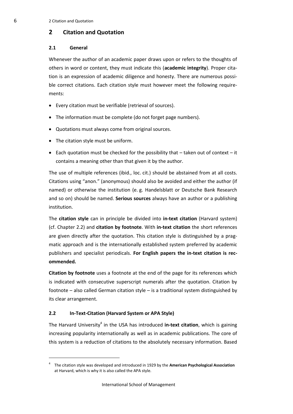# <span id="page-11-0"></span>**2 Citation and Quotation**

### <span id="page-11-1"></span>**2.1 General**

Whenever the author of an academic paper draws upon or refers to the thoughts of others in word or content, they must indicate this (**academic integrity**). Proper citation is an expression of academic diligence and honesty. There are numerous possible correct citations. Each citation style must however meet the following requirements:

- Every citation must be verifiable (retrieval of sources).
- The information must be complete (do not forget page numbers).
- Quotations must always come from original sources.
- The citation style must be uniform.
- $\bullet$  Each quotation must be checked for the possibility that  $-$  taken out of context  $-i$  it contains a meaning other than that given it by the author.

The use of multiple references (ibid., loc. cit.) should be abstained from at all costs. Citations using "anon." (anonymous) should also be avoided and either the author (if named) or otherwise the institution (e. g. Handelsblatt or Deutsche Bank Research and so on) should be named. **Serious sources** always have an author or a publishing institution.

The **citation style** can in principle be divided into **in-text citation** (Harvard system) (cf. Chapter 2.2) and **citation by footnote**. With **in-text citation** the short references are given directly after the quotation. This citation style is distinguished by a pragmatic approach and is the internationally established system preferred by academic publishers and specialist periodicals. **For English papers the in-text citation is recommended.** 

**Citation by footnote** uses a footnote at the end of the page for its references which is indicated with consecutive superscript numerals after the quotation. Citation by footnote – also called German citation style – is a traditional system distinguished by its clear arrangement.

# <span id="page-11-2"></span>**2.2 In-Text-Citation (Harvard System or APA Style)**

 $\overline{a}$ 

The Harvard University<sup>4</sup> in the USA has introduced in-text citation, which is gaining increasing popularity internationally as well as in academic publications. The core of this system is a reduction of citations to the absolutely necessary information. Based

<sup>4</sup> The citation style was developed and introduced in 1929 by the **American Psychological Association** at Harvard, which is why it is also called the APA style.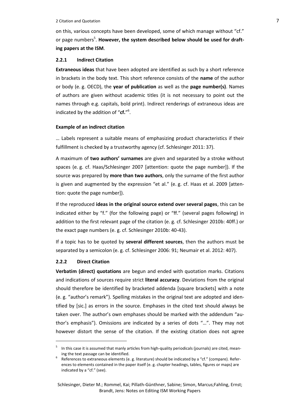#### 2 Citation and Quotation 7 2 Citation **7**

on this, various concepts have been developed, some of which manage without "cf." or page numbers<sup>5</sup>. However, the system described below should be used for draft**ing papers at the ISM**.

### <span id="page-12-0"></span>**2.2.1 Indirect Citation**

**Extraneous ideas** that have been adopted are identified as such by a short reference in brackets in the body text. This short reference consists of the **name** of the author or body (e. g. OECD), the **year of publication** as well as the **page number(s)**. Names of authors are given without academic titles (it is not necessary to point out the names through e.g. capitals, bold print). Indirect renderings of extraneous ideas are indicated by the addition of "**cf.**" 6 .

### **Example of an indirect citation**

… Labels represent a suitable means of emphasizing product characteristics if their fulfillment is checked by a trustworthy agency (cf. Schlesinger 2011: 37).

A maximum of **two authors' surnames** are given and separated by a stroke without spaces (e. g. cf. Haas/Schlesinger 2007 [attention: quote the page number]). If the source was prepared by **more than two authors**, only the surname of the first author is given and augmented by the expression "et al." (e. g. cf. Haas et al. 2009 [attention: quote the page number]).

If the reproduced **ideas in the original source extend over several pages**, this can be indicated either by "f." (for the following page) or "ff." (several pages following) in addition to the first relevant page of the citation (e. g. cf. Schlesinger 2010b: 40ff.) or the exact page numbers (e. g. cf. Schlesinger 2010b: 40-43).

If a topic has to be quoted by **several different sources**, then the authors must be separated by a semicolon (e. g. cf. Schlesinger 2006: 91; Neumair et al. 2012: 407).

### <span id="page-12-1"></span>**2.2.2 Direct Citation**

 $\overline{\phantom{a}}$ 

**Verbatim (direct) quotations** are begun and ended with quotation marks. Citations and indications of sources require strict **literal accuracy**. Deviations from the original should therefore be identified by bracketed addenda [square brackets] with a note (e. g. "author's remark"). Spelling mistakes in the original text are adopted and identified by [sic.] as errors in the source. Emphases in the cited text should always be taken over. The author's own emphases should be marked with the addendum "author's emphasis"). Omissions are indicated by a series of dots "…". They may not however distort the sense of the citation. If the existing citation does not agree

<sup>&</sup>lt;sup>5</sup> In this case it is assumed that manly articles from high-quality periodicals (journals) are cited, meaning the text passage can be identified.

<sup>6</sup> References to extraneous elements (e. g. literature) should be indicated by a "cf." (compare). References to elements contained in the paper itself (e. g. chapter headings, tables, figures or maps) are indicated by a "cf." (see).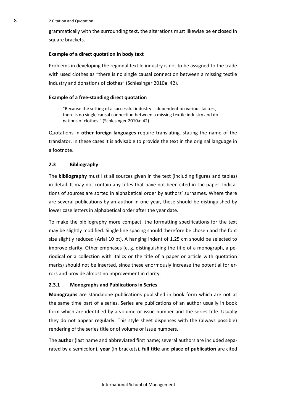8 2 Citation and Quotation

grammatically with the surrounding text, the alterations must likewise be enclosed in square brackets.

### **Example of a direct quotation in body text**

Problems in developing the regional textile industry is not to be assigned to the trade with used clothes as "there is no single causal connection between a missing textile industry and donations of clothes" (Schlesinger 2010a: 42).

### **Example of a free-standing direct quotation**

"Because the setting of a successful industry is dependent on various factors, there is no single causal connection between a missing textile industry and donations of clothes." (Schlesinger 2010a: 42).

Quotations in **other foreign languages** require translating, stating the name of the translator. In these cases it is advisable to provide the text in the original language in a footnote.

### <span id="page-13-0"></span>**2.3 Bibliography**

The **bibliography** must list all sources given in the text (including figures and tables) in detail. It may not contain any titles that have not been cited in the paper. Indications of sources are sorted in alphabetical order by authors' surnames. Where there are several publications by an author in one year, these should be distinguished by lower case letters in alphabetical order after the year date.

To make the bibliography more compact, the formatting specifications for the text may be slightly modified. Single line spacing should therefore be chosen and the font size slightly reduced (Arial 10 pt). A hanging indent of 1.25 cm should be selected to improve clarity. Other emphases (e. g. distinguishing the title of a monograph, a periodical or a collection with italics or the title of a paper or article with quotation marks) should not be inserted, since these enormously increase the potential for errors and provide almost no improvement in clarity.

### <span id="page-13-1"></span>**2.3.1 Monographs and Publications in Series**

**Monographs** are standalone publications published in book form which are not at the same time part of a series. Series are publications of an author usually in book form which are identified by a volume or issue number and the series title. Usually they do not appear regularly. This style sheet dispenses with the (always possible) rendering of the series title or of volume or issue numbers.

The **author** (last name and abbreviated first name; several authors are included separated by a semicolon), **year** (in brackets), **full title** and **place of publication** are cited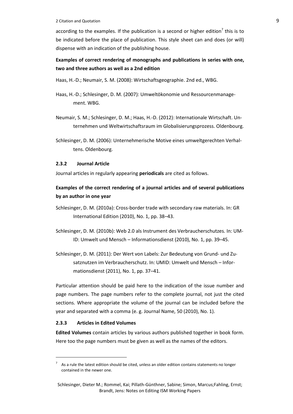2 Citation and Quotation 9

according to the examples. If the publication is a second or higher edition<sup>7</sup> this is to be indicated before the place of publication. This style sheet can and does (or will) dispense with an indication of the publishing house.

# **Examples of correct rendering of monographs and publications in series with one, two and three authors as well as a 2nd edition**

Haas, H.-D.; Neumair, S. M. (2008): Wirtschaftsgeographie. 2nd ed., WBG.

- Haas, H.-D.; Schlesinger, D. M. (2007): Umweltökonomie und Ressourcenmanagement. WBG.
- Neumair, S. M.; Schlesinger, D. M.; Haas, H.-D. (2012): Internationale Wirtschaft. Unternehmen und Weltwirtschaftsraum im Globalisierungsprozess. Oldenbourg.
- Schlesinger, D. M. (2006): Unternehmerische Motive eines umweltgerechten Verhaltens. Oldenbourg.

# <span id="page-14-0"></span>**2.3.2 Journal Article**

Journal articles in regularly appearing **periodicals** are cited as follows.

# **Examples of the correct rendering of a journal articles and of several publications by an author in one year**

- Schlesinger, D. M. (2010a): Cross-border trade with secondary raw materials. In: GR International Edition (2010), No. 1, pp. 38–43.
- Schlesinger, D. M. (2010b): Web 2.0 als Instrument des Verbraucherschutzes. In: UM-ID: Umwelt und Mensch – Informationsdienst (2010), No. 1, pp. 39–45.
- Schlesinger, D. M. (2011): Der Wert von Labels: Zur Bedeutung von Grund- und Zusatznutzen im Verbraucherschutz. In: UMID: Umwelt und Mensch – Informationsdienst (2011), No. 1, pp. 37–41.

Particular attention should be paid here to the indication of the issue number and page numbers. The page numbers refer to the complete journal, not just the cited sections. Where appropriate the volume of the journal can be included before the year and separated with a comma (e. g. Journal Name, 50 (2010), No. 1).

# <span id="page-14-1"></span>**2.3.3 Articles in Edited Volumes**

 $\overline{\phantom{a}}$ 

**Edited Volumes** contain articles by various authors published together in book form. Here too the page numbers must be given as well as the names of the editors.

 $7$  As a rule the latest edition should be cited, unless an older edition contains statements no longer contained in the newer one.

Schlesinger, Dieter M.; Rommel, Kai; Pillath-Günthner, Sabine; Simon, Marcus;Fahling, Ernst; Brandt, Jens: Notes on Editing ISM Working Papers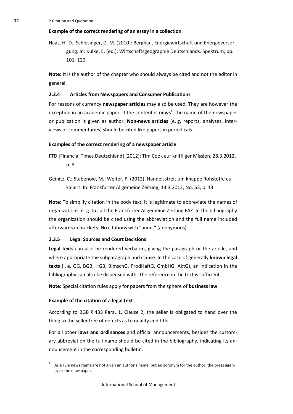# **Example of the correct rendering of an essay in a collection**

Haas, H.-D.; Schlesinger, D. M. (2010): Bergbau, Energiewirtschaft und Energieversorgung. In: Kulke, E. (ed.): Wirtschaftsgeographie Deutschlands. Spektrum, pp. 101–129.

**Note:** It is the author of the chapter who should always be cited and not the editor in general.

# <span id="page-15-0"></span>**2.3.4 Articles from Newspapers and Consumer Publications**

For reasons of currency **newspaper articles** may also be used. They are however the exception in an academic paper. If the content is **news**<sup>8</sup>, the name of the newspaper or publication is given as author. **Non-news articles** (e. g. reports, analyses, interviews or commentaries) should be cited like papers in periodicals.

# **Examples of the correct rendering of a newspaper article**

- FTD [Financial Times Deutschland] (2012): Tim Cook auf kniffliger Mission. 28.3.2012, p. 8.
- Geinitz, C.; Stabenow, M.; Welter, P. (2012): Handelsstreit um knappe Rohstoffe eskaliert. In: Frankfurter Allgemeine Zeitung, 14.3.2012, No. 63, p. 13.

**Note:** To simplify citation in the body text, it is legitimate to abbreviate the names of organizations, e. g. to call the Frankfurter Allgemeine Zeitung FAZ. In the bibliography the organization should be cited using the abbreviation and the full name included afterwards in brackets. No citations with "anon." (anonymous).

# <span id="page-15-1"></span>**2.3.5 Legal Sources and Court Decisions**

**Legal texts** can also be rendered verbatim, giving the paragraph or the article, and where appropriate the subparagraph and clause. In the case of generally **known legal texts** (i. e. GG, BGB, HGB, BImschG, ProdHaftG, GmbHG, AktG), an indication in the bibliography can also be dispensed with. The reference in the text is sufficient.

**Note:** Special citation rules apply for papers from the sphere of **business law**.

# **Example of the citation of a legal text**

 $\overline{a}$ 

According to BGB § 433 Para. 1, Clause 2, the seller is obligated to hand over the thing to the seller free of defects as to quality and title.

For all other **laws and ordinances** and official announcements, besides the customary abbreviation the full name should be cited in the bibliography, indicating its announcement in the corresponding bulletin.

<sup>8</sup> As a rule news items are not given an author's name, but an acronym for the author, the press agency or the newspaper.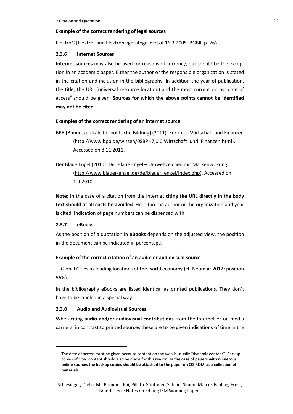# **Example of the correct rendering of legal sources**

ElektroG [Elektro- und Elektronikgerätegesetz] of 16.3.2005. BGBII, p. 762.

# <span id="page-16-0"></span>**2.3.6 Internet Sources**

**Internet sources** may also be used for reasons of currency, but should be the exception in an academic paper. Either the author or the responsible organization is stated in the citation and inclusion in the bibliography. In addition the year of publication, the title, the URL (universal resource location) and the most current or last date of access<sup>9</sup> should be given. **Sources for which the above points cannot be identified may not be cited.**

# **Examples of the correct rendering of an internet source**

BPB [Bundeszentrale für politische Bildung] (2011): Europa – Wirtschaft und Finanzen [\(http://www.bpb.de/wissen/0SBPH7,0,0,Wirtschaft\\_und\\_Finanzen.html\)](http://www.bpb.de/wissen/0SBPH7,0,0,Wirtschaft_und_Finanzen.html). Accessed on 8.11.2011.

Der Blaue Engel (2010): Der Blaue Engel – Umweltzeichen mit Markenwirkung [\(http://www.blauer-engel.de/de/blauer\\_engel/index.php\)](http://www.blauer-engel.de/de/blauer_engel/index.php). Accessed on 1.9.2010.

**Note:** In the case of a citation from the Internet **citing the URL directly in the body text should at all costs be avoided**. Here too the author or the organization and year is cited. Indication of page numbers can be dispensed with.

# <span id="page-16-1"></span>**2.3.7 eBooks**

 $\overline{a}$ 

As the position of a quotation in **eBooks** depends on the adjusted view, the position in the document can be indicated in percentage.

# **Example of the correct citation of an audio or audiovisual source**

… Global Cities as leading locations of the world economy (cf. Neumair 2012: position 56%).

In the bibliography eBooks are listed identical as printed publications. They don´t have to be labeled in a special way.

# <span id="page-16-2"></span>**2.3.8 Audio and Audiovisual Sources**

When citing **audio and/or audiovisual contributions** from the Internet or on media carriers, in contrast to printed sources these are to be given indications of time in the

<sup>9</sup> The date of access must be given because content on the web is usually "dynamic content". Backup copies of cited content should also be made for this reason. **In the case of papers with numerous online sources the backup copies should be attached to the paper on CD-ROM as a collection of materials.**

Schlesinger, Dieter M.; Rommel, Kai; Pillath-Günthner, Sabine; Simon, Marcus;Fahling, Ernst; Brandt, Jens: Notes on Editing ISM Working Papers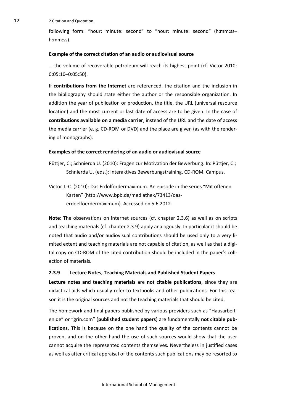12 2 Citation and Quotation

following form: "hour: minute: second" to "hour: minute: second" (h:mm:ss– h:mm:ss).

### **Example of the correct citation of an audio or audiovisual source**

… the volume of recoverable petroleum will reach its highest point (cf. Victor 2010: 0:05:10–0:05:50).

If **contributions from the Internet** are referenced, the citation and the inclusion in the bibliography should state either the author or the responsible organization. In addition the year of publication or production, the title, the URL (universal resource location) and the most current or last date of access are to be given. In the case of **contributions available on a media carrier**, instead of the URL and the date of access the media carrier (e. g. CD-ROM or DVD) and the place are given (as with the rendering of monographs).

#### **Examples of the correct rendering of an audio or audiovisual source**

- Püttjer, C.; Schnierda U. (2010): Fragen zur Motivation der Bewerbung. In: Püttjer, C.; Schnierda U. (eds.): Interaktives Bewerbungstraining. CD-ROM. Campus.
- Victor J.-C. (2010): Das Erdölfördermaximum. An episode in the series "Mit offenen Karten" (http://www.bpb.de/mediathek/73413/daserdoelfoerdermaximum). Accessed on 5.6.2012.

**Note:** The observations on internet sources (cf. chapter 2.3.6) as well as on scripts and teaching materials (cf. chapter 2.3.9) apply analogously. In particular it should be noted that audio and/or audiovisual contributions should be used only to a very limited extent and teaching materials are not capable of citation, as well as that a digital copy on CD-ROM of the cited contribution should be included in the paper's collection of materials.

### <span id="page-17-0"></span>**2.3.9 Lecture Notes, Teaching Materials and Published Student Papers**

**Lecture notes and teaching materials** are **not citable publications**, since they are didactical aids which usually refer to textbooks and other publications. For this reason it is the original sources and not the teaching materials that should be cited.

The homework and final papers published by various providers such as "Hausarbeiten.de" or "grin.com" (**published student papers**) are fundamentally **not citable publications**. This is because on the one hand the quality of the contents cannot be proven, and on the other hand the use of such sources would show that the user cannot acquire the represented contents themselves. Nevertheless in justified cases as well as after critical appraisal of the contents such publications may be resorted to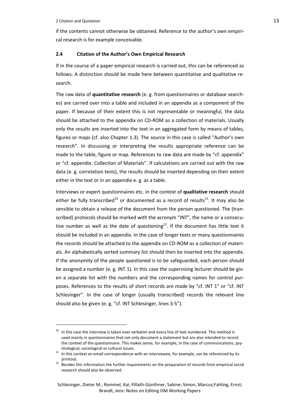$\overline{\phantom{a}}$ 

if the contents cannot otherwise be obtained. Reference to the author's own empirical research is for example conceivable.

### <span id="page-18-0"></span>**2.4 Citation of the Author's Own Empirical Research**

If in the course of a paper empirical research is carried out, this can be referenced as follows. A distinction should be made here between quantitative and qualitative research.

The raw data of **quantitative research** (e. g. from questionnaires or database searches) are carried over into a table and included in an appendix as a component of the paper. If because of their extent this is not representable or meaningful, the data should be attached to the appendix on CD-ROM as a collection of materials. Usually only the results are inserted into the text in an aggregated form by means of tables, figures or maps (cf. also Chapter 1.3). The source in this case is called "Author's own research". In discussing or interpreting the results appropriate reference can be made to the table, figure or map. References to raw data are made by "cf. appendix" or "cf. appendix: Collection of Materials". If calculations are carried out with the raw data (e. g. correlation tests), the results should be inserted depending on their extent either in the text or in an appendix e. g. as a table.

Interviews or expert questionnaires etc. in the context of **qualitative research** should either be fully transcribed<sup>10</sup> or documented as a record of results<sup>11</sup>. It may also be sensible to obtain a release of the document from the person questioned. The (transcribed) protocols should be marked with the acronym "INT", the name or a consecutive number as well as the date of questioning<sup>12</sup>. If the document has little text it should be included in an appendix. In the case of longer texts or many questionnaires the records should be attached to the appendix on CD-ROM as a collection of materials. An alphabetically sorted summary list should then be inserted into the appendix. If the anonymity of the people questioned is to be safeguarded, each person should be assigned a number (e. g. INT 1). In this case the supervising lecturer should be given a separate list with the numbers and the corresponding names for control purposes. References to the results of short records are made by "cf. INT 1" or "cf. INT Schlesinger". In the case of longer (usually transcribed) records the relevant line should also be given (e. g. "cf. INT Schlesinger, lines 3-5").

 $10$  In this case the interview is taken over verbatim and every line of text numbered. This method is used mainly in questionnaires that not only document a statement but are also intended to record the context of the questionnaire. This makes sense, for example, in the case of communications, psychological, sociological or cultural issues.

<sup>11</sup> In this context an email correspondence with an interviewee, for example, can be referenced by its printout.

<sup>&</sup>lt;sup>12</sup> Besides this information the further requirements on the preparation of records from empirical social research should also be observed.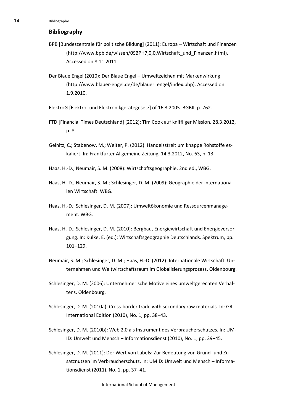# <span id="page-19-0"></span>**Bibliography**

- BPB [Bundeszentrale für politische Bildung] (2011): Europa Wirtschaft und Finanzen (http://www.bpb.de/wissen/0SBPH7,0,0,Wirtschaft\_und\_Finanzen.html). Accessed on 8.11.2011.
- Der Blaue Engel (2010): Der Blaue Engel Umweltzeichen mit Markenwirkung (http://www.blauer-engel.de/de/blauer\_engel/index.php). Accessed on 1.9.2010.

ElektroG [Elektro- und Elektronikgerätegesetz] of 16.3.2005. BGBII, p. 762.

- FTD [Financial Times Deutschland] (2012): Tim Cook auf kniffliger Mission. 28.3.2012, p. 8.
- Geinitz, C.; Stabenow, M.; Welter, P. (2012): Handelsstreit um knappe Rohstoffe eskaliert. In: Frankfurter Allgemeine Zeitung, 14.3.2012, No. 63, p. 13.
- Haas, H.-D.; Neumair, S. M. (2008): Wirtschaftsgeographie. 2nd ed., WBG.
- Haas, H.-D.; Neumair, S. M.; Schlesinger, D. M. (2009): Geographie der internationalen Wirtschaft. WBG.
- Haas, H.-D.; Schlesinger, D. M. (2007): Umweltökonomie und Ressourcenmanagement. WBG.
- Haas, H.-D.; Schlesinger, D. M. (2010): Bergbau, Energiewirtschaft und Energieversorgung. In: Kulke, E. (ed.): Wirtschaftsgeographie Deutschlands. Spektrum, pp. 101–129.
- Neumair, S. M.; Schlesinger, D. M.; Haas, H.-D. (2012): Internationale Wirtschaft. Unternehmen und Weltwirtschaftsraum im Globalisierungsprozess. Oldenbourg.
- Schlesinger, D. M. (2006): Unternehmerische Motive eines umweltgerechten Verhaltens. Oldenbourg.
- Schlesinger, D. M. (2010a): Cross-border trade with secondary raw materials. In: GR International Edition (2010), No. 1, pp. 38–43.
- Schlesinger, D. M. (2010b): Web 2.0 als Instrument des Verbraucherschutzes. In: UM-ID: Umwelt und Mensch – Informationsdienst (2010), No. 1, pp. 39–45.
- Schlesinger, D. M. (2011): Der Wert von Labels: Zur Bedeutung von Grund- und Zusatznutzen im Verbraucherschutz. In: UMID: Umwelt und Mensch – Informationsdienst (2011), No. 1, pp. 37–41.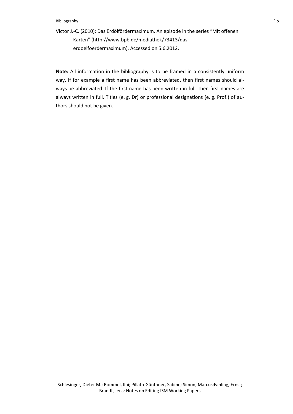#### Bibliography 15

Victor J.-C. (2010): Das Erdölfördermaximum. An episode in the series "Mit offenen Karten" (http://www.bpb.de/mediathek/73413/daserdoelfoerdermaximum). Accessed on 5.6.2012.

**Note:** All information in the bibliography is to be framed in a consistently uniform way. If for example a first name has been abbreviated, then first names should always be abbreviated. If the first name has been written in full, then first names are always written in full. Titles (e. g. Dr) or professional designations (e. g. Prof.) of authors should not be given.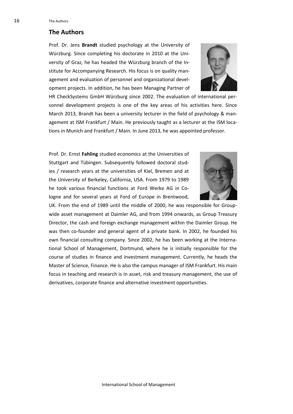# **The Authors**

Prof. Dr. Jens **Brandt** studied psychology at the University of Würzburg. Since completing his doctorate in 2010 at the University of Graz, he has headed the Würzburg branch of the Institute for Accompanying Research. His focus is on quality management and evaluation of personnel and organizational development projects. In addition, he has been Managing Partner of



HR CheckSystems GmbH Würzburg since 2002. The evaluation of international personnel development projects is one of the key areas of his activities here. Since March 2013, Brandt has been a university lecturer in the field of psychology & management at ISM Frankfurt / Main. He previously taught as a lecturer at the ISM locations in Munich and Frankfurt / Main. In June 2013, he was appointed professor.

Prof. Dr. Ernst **Fahling** studied economics at the Universities of Stuttgart and Tübingen. Subsequently followed doctoral studies / research years at the universities of Kiel, Bremen and at the University of Berkeley, California, USA. From 1979 to 1989 he took various financial functions at Ford Werke AG in Cologne and for several years at Ford of Europe in Brentwood,



UK. From the end of 1989 until the middle of 2000, he was responsible for Groupwide asset management at Daimler AG, and from 1994 onwards, as Group Treasury Director, the cash and foreign exchange management within the Daimler Group. He was then co-founder and general agent of a private bank. In 2002, he founded his own financial consulting company. Since 2002, he has been working at the International School of Management, Dortmund, where he is initially responsible for the course of studies in finance and investment management. Currently, he heads the Master of Science, Finance. He is also the campus manager of ISM Frankfurt. His main focus in teaching and research is in asset, risk and treasury management, the use of derivatives, corporate finance and alternative investment opportunities.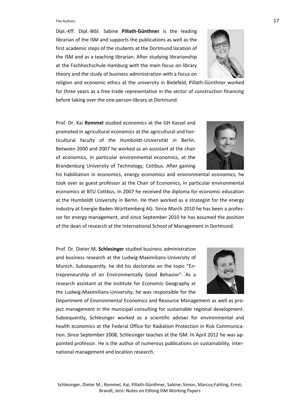#### The Authors  $17$

Dipl.-Kff. Dipl.-Bibl. Sabine **Pillath-Günthner** is the leading librarian of the ISM and supports the publications as well as the first academic steps of the students at the Dortmund location of the ISM and as a teaching librarian. After studying librarianship at the Fachhochschule Hamburg with the main focus on library theory and the study of business administration with a focus on



religion and economic ethics at the university in Bielefeld, Pillath-Günthner worked for three years as a free trade representative in the sector of construction financing before taking over the one-person-library at Dortmund.

Prof. Dr. Kai **Rommel** studied economics at the GH Kassel and promoted in agricultural economics at the agricultural and horticultural faculty of the Humboldt-Universität in Berlin. Between 2000 and 2007 he worked as an assistant at the chair of economics, in particular environmental economics, at the Brandenburg University of Technology, Cottbus. After gaining

his habilitation in economics, energy economics and environmental economics, he took over as guest professor at the Chair of Economics, in particular environmental economics at BTU Cottbus. In 2007 he received the diploma for economic education at the Humboldt University in Berlin. He then worked as a strategist for the energy industry at Energie Baden-Württemberg AG. Since March 2010 he has been a professor for energy management, and since September 2010 he has assumed the position of the dean of research at the International School of Management in Dortmund.

Prof. Dr. Dieter M. **Schlesinger** studied business administration and business research at the Ludwig-Maximilians-University of Munich. Subsequently, he did his doctorate on the topic "Entrepreneurship of an Environmentally Good Behavior". As a research assistant at the Institute for Economic Geography at the Ludwig-Maximilians-University, he was responsible for the



Department of Environmental Economics and Resource Management as well as project management in the municipal consulting for sustainable regional development. Subsequently, Schlesinger worked as a scientific adviser for environmental and health economics at the Federal Office for Radiation Protection in Risk Communication. Since September 2008, Schlesinger teaches at the ISM. In April 2012 he was appointed professor. He is the author of numerous publications on sustainability, international management and location research.

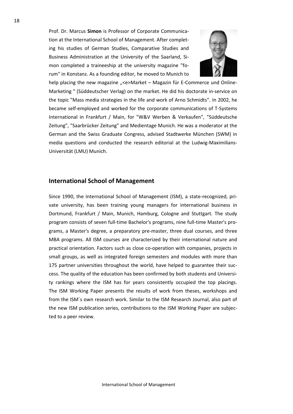Prof. Dr. Marcus **Simon** is Professor of Corporate Communication at the International School of Management. After completing his studies of German Studies, Comparative Studies and Business Administration at the University of the Saarland, Simon completed a traineeship at the university magazine "forum" in Konstanz. As a founding editor, he moved to Munich to



help placing the new magazine "<e>Market – Magazin für E-Commerce und Online-Marketing " (Süddeutscher Verlag) on the market. He did his doctorate in-service on the topic "Mass media strategies in the life and work of Arno Schmidts". In 2002, he became self-employed and worked for the corporate communications of T-Systems International in Frankfurt / Main, for "W&V Werben & Verkaufen", "Süddeutsche Zeitung", "Saarbrücker Zeitung" and Medientage Munich. He was a moderator at the German and the Swiss Graduate Congress, advised Stadtwerke München (SWM) in media questions and conducted the research editorial at the Ludwig-Maximilians-Universität (LMU) Munich.

# **International School of Management**

Since 1990, the International School of Management (ISM), a state-recognized, private university, has been training young managers for international business in Dortmund, Frankfurt / Main, Munich, Hamburg, Cologne and Stuttgart. The study program consists of seven full-time Bachelor's programs, nine full-time Master's programs, a Master's degree, a preparatory pre-master, three dual courses, and three MBA programs. All ISM courses are characterized by their international nature and practical orientation. Factors such as close co-operation with companies, projects in small groups, as well as integrated foreign semesters and modules with more than 175 partner universities throughout the world, have helped to guarantee their success. The quality of the education has been confirmed by both students and University rankings where the ISM has for years consistently occupied the top placings. The ISM Working Paper presents the results of work from theses, workshops and from the ISM´s own research work. Similar to the ISM Research Journal, also part of the new ISM publication series, contributions to the ISM Working Paper are subjected to a peer review.